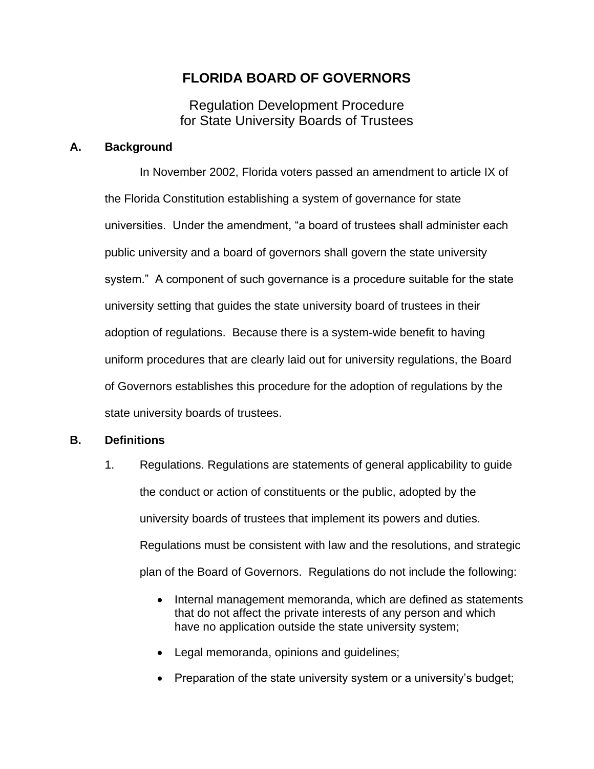# **FLORIDA BOARD OF GOVERNORS**

Regulation Development Procedure for State University Boards of Trustees

### **A. Background**

In November 2002, Florida voters passed an amendment to article IX of the Florida Constitution establishing a system of governance for state universities. Under the amendment, "a board of trustees shall administer each public university and a board of governors shall govern the state university system." A component of such governance is a procedure suitable for the state university setting that guides the state university board of trustees in their adoption of regulations. Because there is a system-wide benefit to having uniform procedures that are clearly laid out for university regulations, the Board of Governors establishes this procedure for the adoption of regulations by the state university boards of trustees.

### **B. Definitions**

- 1. Regulations. Regulations are statements of general applicability to guide the conduct or action of constituents or the public, adopted by the university boards of trustees that implement its powers and duties. Regulations must be consistent with law and the resolutions, and strategic plan of the Board of Governors. Regulations do not include the following:
	- Internal management memoranda, which are defined as statements that do not affect the private interests of any person and which have no application outside the state university system;
	- Legal memoranda, opinions and guidelines;
	- Preparation of the state university system or a university's budget;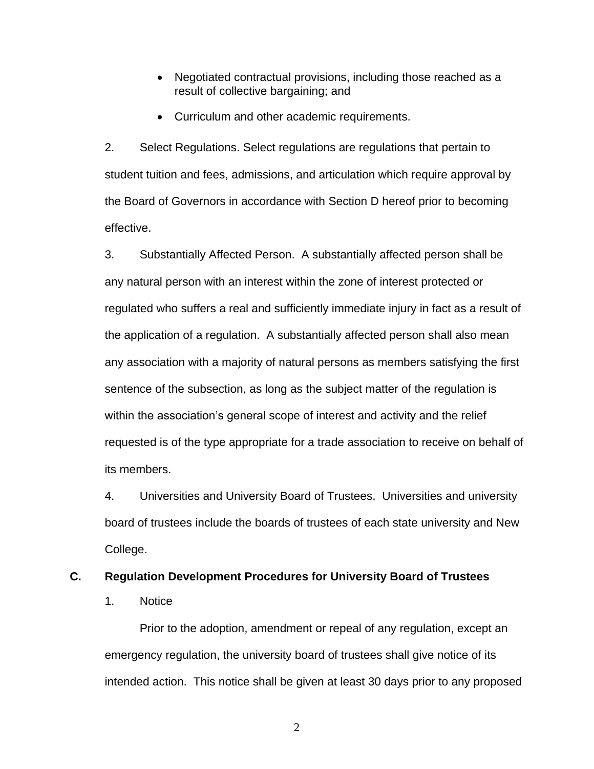- Negotiated contractual provisions, including those reached as a result of collective bargaining; and
- Curriculum and other academic requirements.

2. Select Regulations. Select regulations are regulations that pertain to student tuition and fees, admissions, and articulation which require approval by the Board of Governors in accordance with Section D hereof prior to becoming effective.

3. Substantially Affected Person. A substantially affected person shall be any natural person with an interest within the zone of interest protected or regulated who suffers a real and sufficiently immediate injury in fact as a result of the application of a regulation. A substantially affected person shall also mean any association with a majority of natural persons as members satisfying the first sentence of the subsection, as long as the subject matter of the regulation is within the association's general scope of interest and activity and the relief requested is of the type appropriate for a trade association to receive on behalf of its members.

4. Universities and University Board of Trustees. Universities and university board of trustees include the boards of trustees of each state university and New College.

#### **C. Regulation Development Procedures for University Board of Trustees**

1. Notice

Prior to the adoption, amendment or repeal of any regulation, except an emergency regulation, the university board of trustees shall give notice of its intended action. This notice shall be given at least 30 days prior to any proposed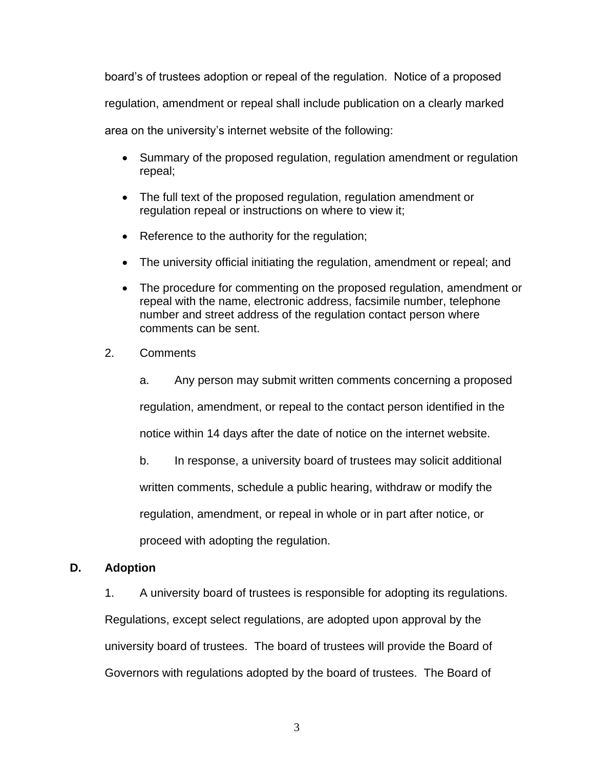board's of trustees adoption or repeal of the regulation. Notice of a proposed regulation, amendment or repeal shall include publication on a clearly marked area on the university's internet website of the following:

- Summary of the proposed regulation, regulation amendment or regulation repeal;
- The full text of the proposed regulation, regulation amendment or regulation repeal or instructions on where to view it;
- Reference to the authority for the regulation;
- The university official initiating the regulation, amendment or repeal; and
- The procedure for commenting on the proposed regulation, amendment or repeal with the name, electronic address, facsimile number, telephone number and street address of the regulation contact person where comments can be sent.
- 2. Comments

a. Any person may submit written comments concerning a proposed regulation, amendment, or repeal to the contact person identified in the notice within 14 days after the date of notice on the internet website.

b. In response, a university board of trustees may solicit additional

written comments, schedule a public hearing, withdraw or modify the

regulation, amendment, or repeal in whole or in part after notice, or

proceed with adopting the regulation.

### **D. Adoption**

1. A university board of trustees is responsible for adopting its regulations.

Regulations, except select regulations, are adopted upon approval by the university board of trustees. The board of trustees will provide the Board of Governors with regulations adopted by the board of trustees. The Board of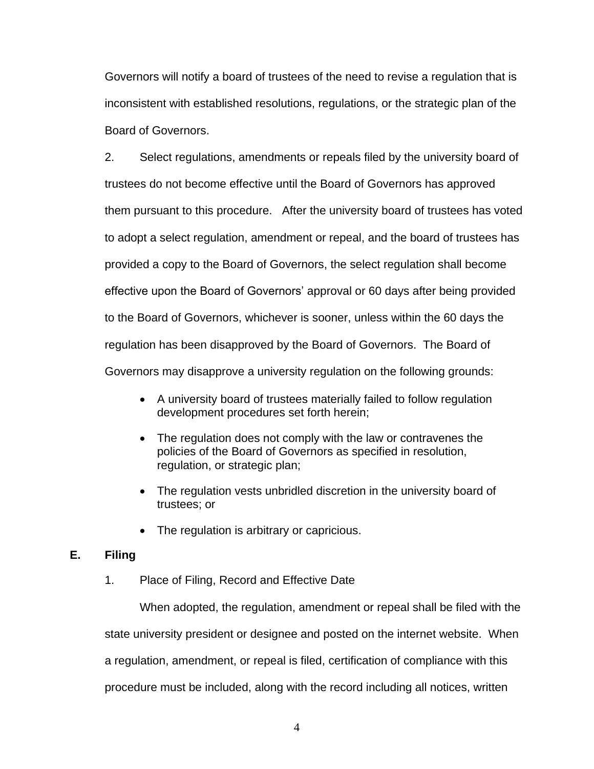Governors will notify a board of trustees of the need to revise a regulation that is inconsistent with established resolutions, regulations, or the strategic plan of the Board of Governors.

2. Select regulations, amendments or repeals filed by the university board of trustees do not become effective until the Board of Governors has approved them pursuant to this procedure. After the university board of trustees has voted to adopt a select regulation, amendment or repeal, and the board of trustees has provided a copy to the Board of Governors, the select regulation shall become effective upon the Board of Governors' approval or 60 days after being provided to the Board of Governors, whichever is sooner, unless within the 60 days the regulation has been disapproved by the Board of Governors. The Board of Governors may disapprove a university regulation on the following grounds:

- A university board of trustees materially failed to follow regulation development procedures set forth herein;
- The regulation does not comply with the law or contravenes the policies of the Board of Governors as specified in resolution, regulation, or strategic plan;
- The regulation vests unbridled discretion in the university board of trustees; or
- The regulation is arbitrary or capricious.

### **E. Filing**

1. Place of Filing, Record and Effective Date

When adopted, the regulation, amendment or repeal shall be filed with the state university president or designee and posted on the internet website. When a regulation, amendment, or repeal is filed, certification of compliance with this procedure must be included, along with the record including all notices, written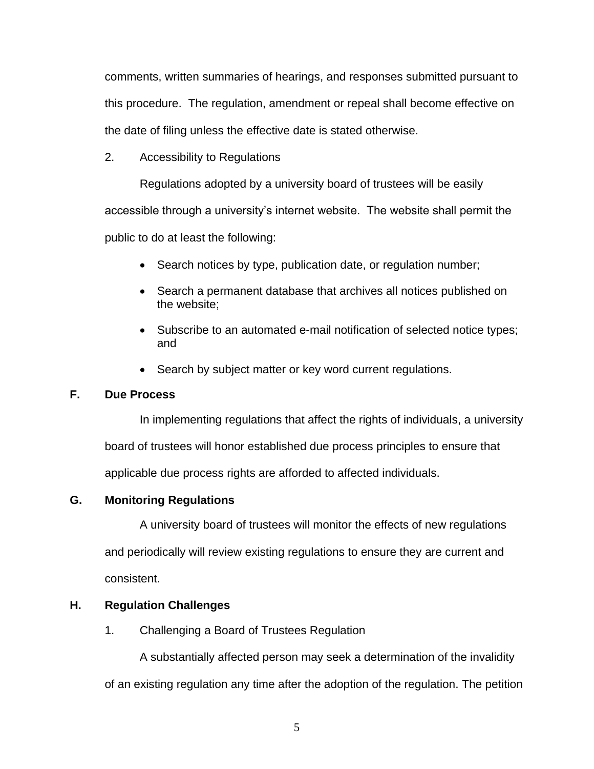comments, written summaries of hearings, and responses submitted pursuant to this procedure. The regulation, amendment or repeal shall become effective on the date of filing unless the effective date is stated otherwise.

2. Accessibility to Regulations

Regulations adopted by a university board of trustees will be easily accessible through a university's internet website. The website shall permit the public to do at least the following:

- - Search notices by type, publication date, or regulation number;
	- Search a permanent database that archives all notices published on the website;
	- Subscribe to an automated e-mail notification of selected notice types; and
	- Search by subject matter or key word current regulations.

# **F. Due Process**

In implementing regulations that affect the rights of individuals, a university board of trustees will honor established due process principles to ensure that applicable due process rights are afforded to affected individuals.

# **G. Monitoring Regulations**

A university board of trustees will monitor the effects of new regulations and periodically will review existing regulations to ensure they are current and consistent.

# **H. Regulation Challenges**

1. Challenging a Board of Trustees Regulation

A substantially affected person may seek a determination of the invalidity of an existing regulation any time after the adoption of the regulation. The petition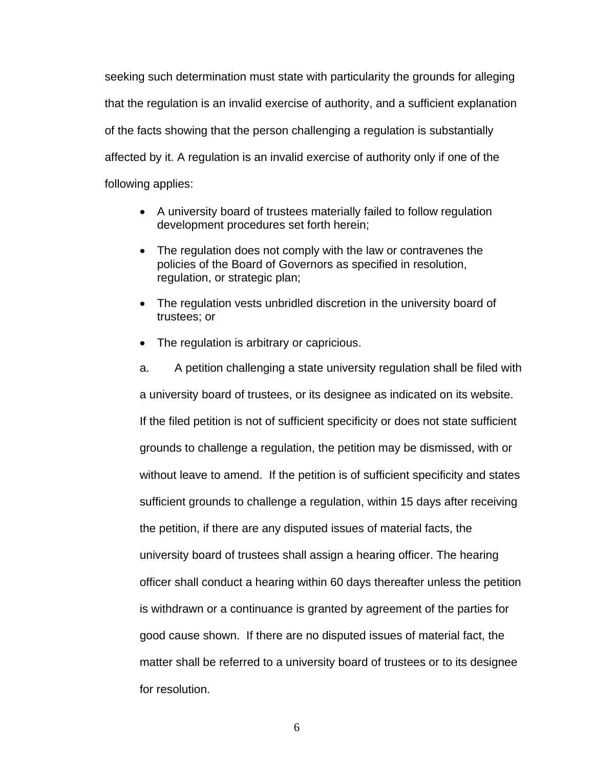seeking such determination must state with particularity the grounds for alleging that the regulation is an invalid exercise of authority, and a sufficient explanation of the facts showing that the person challenging a regulation is substantially affected by it. A regulation is an invalid exercise of authority only if one of the following applies:

- A university board of trustees materially failed to follow regulation development procedures set forth herein;
- The regulation does not comply with the law or contravenes the policies of the Board of Governors as specified in resolution, regulation, or strategic plan;
- The regulation vests unbridled discretion in the university board of trustees; or
- The regulation is arbitrary or capricious.

a. A petition challenging a state university regulation shall be filed with a university board of trustees, or its designee as indicated on its website. If the filed petition is not of sufficient specificity or does not state sufficient grounds to challenge a regulation, the petition may be dismissed, with or without leave to amend. If the petition is of sufficient specificity and states sufficient grounds to challenge a regulation, within 15 days after receiving the petition, if there are any disputed issues of material facts, the university board of trustees shall assign a hearing officer. The hearing officer shall conduct a hearing within 60 days thereafter unless the petition is withdrawn or a continuance is granted by agreement of the parties for good cause shown. If there are no disputed issues of material fact, the matter shall be referred to a university board of trustees or to its designee for resolution.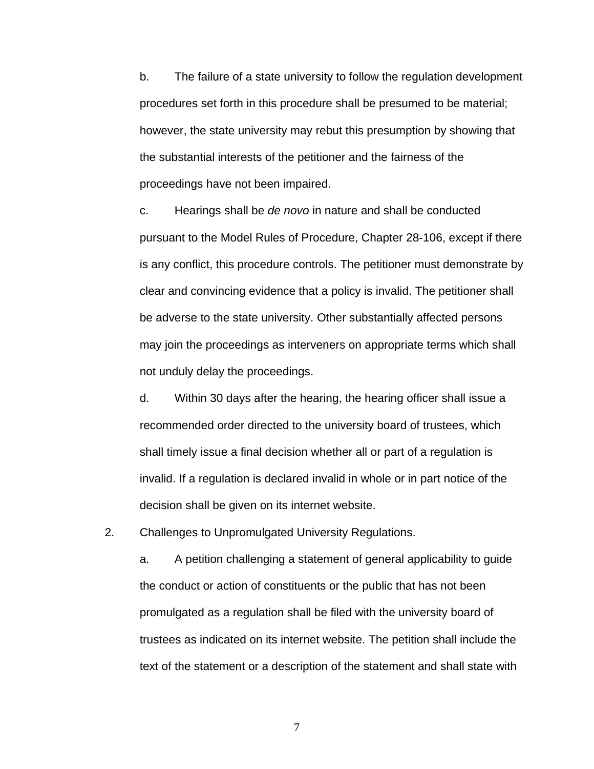b. The failure of a state university to follow the regulation development procedures set forth in this procedure shall be presumed to be material; however, the state university may rebut this presumption by showing that the substantial interests of the petitioner and the fairness of the proceedings have not been impaired.

c. Hearings shall be *de novo* in nature and shall be conducted pursuant to the Model Rules of Procedure, Chapter 28-106, except if there is any conflict, this procedure controls. The petitioner must demonstrate by clear and convincing evidence that a policy is invalid. The petitioner shall be adverse to the state university. Other substantially affected persons may join the proceedings as interveners on appropriate terms which shall not unduly delay the proceedings.

d. Within 30 days after the hearing, the hearing officer shall issue a recommended order directed to the university board of trustees, which shall timely issue a final decision whether all or part of a regulation is invalid. If a regulation is declared invalid in whole or in part notice of the decision shall be given on its internet website.

2. Challenges to Unpromulgated University Regulations.

a. A petition challenging a statement of general applicability to guide the conduct or action of constituents or the public that has not been promulgated as a regulation shall be filed with the university board of trustees as indicated on its internet website. The petition shall include the text of the statement or a description of the statement and shall state with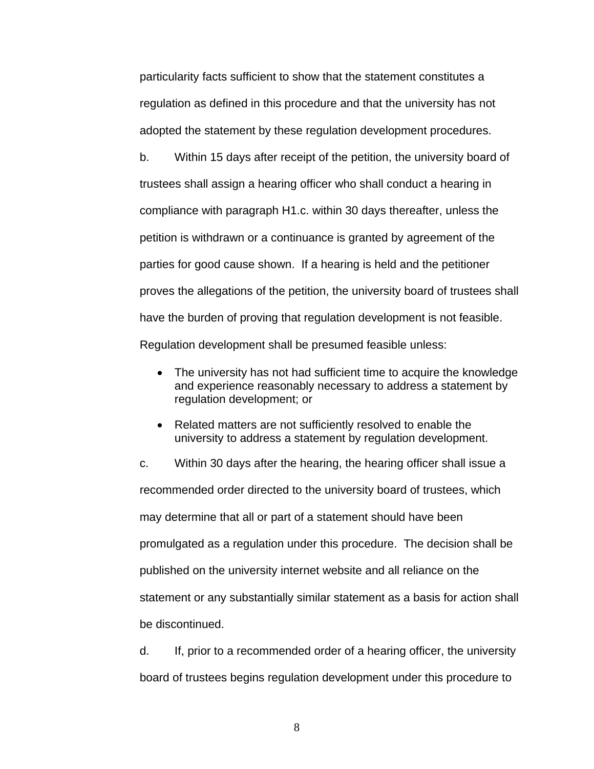particularity facts sufficient to show that the statement constitutes a regulation as defined in this procedure and that the university has not adopted the statement by these regulation development procedures.

b. Within 15 days after receipt of the petition, the university board of trustees shall assign a hearing officer who shall conduct a hearing in compliance with paragraph H1.c. within 30 days thereafter, unless the petition is withdrawn or a continuance is granted by agreement of the parties for good cause shown. If a hearing is held and the petitioner proves the allegations of the petition, the university board of trustees shall have the burden of proving that regulation development is not feasible. Regulation development shall be presumed feasible unless:

- The university has not had sufficient time to acquire the knowledge and experience reasonably necessary to address a statement by regulation development; or
- Related matters are not sufficiently resolved to enable the university to address a statement by regulation development.

c. Within 30 days after the hearing, the hearing officer shall issue a recommended order directed to the university board of trustees, which may determine that all or part of a statement should have been promulgated as a regulation under this procedure. The decision shall be published on the university internet website and all reliance on the statement or any substantially similar statement as a basis for action shall be discontinued.

d. If, prior to a recommended order of a hearing officer, the university board of trustees begins regulation development under this procedure to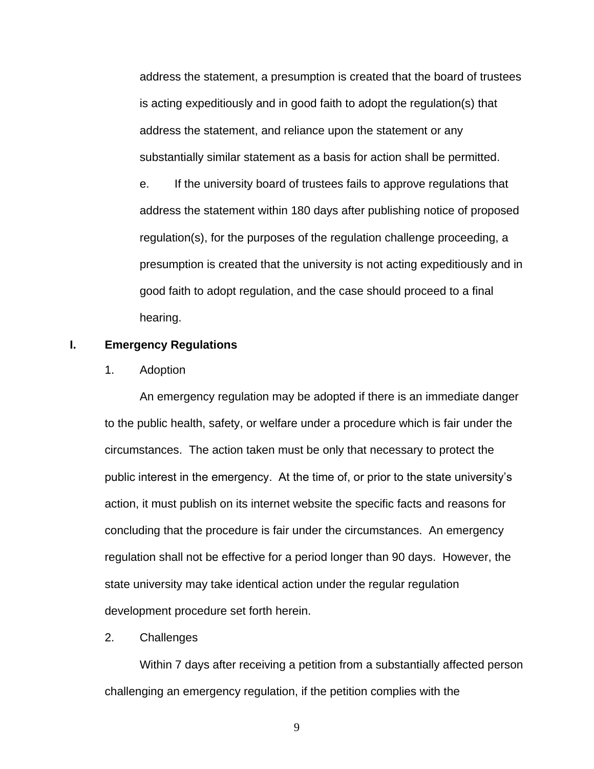address the statement, a presumption is created that the board of trustees is acting expeditiously and in good faith to adopt the regulation(s) that address the statement, and reliance upon the statement or any substantially similar statement as a basis for action shall be permitted.

e. If the university board of trustees fails to approve regulations that address the statement within 180 days after publishing notice of proposed regulation(s), for the purposes of the regulation challenge proceeding, a presumption is created that the university is not acting expeditiously and in good faith to adopt regulation, and the case should proceed to a final hearing.

#### **I. Emergency Regulations**

1. Adoption

An emergency regulation may be adopted if there is an immediate danger to the public health, safety, or welfare under a procedure which is fair under the circumstances. The action taken must be only that necessary to protect the public interest in the emergency. At the time of, or prior to the state university's action, it must publish on its internet website the specific facts and reasons for concluding that the procedure is fair under the circumstances. An emergency regulation shall not be effective for a period longer than 90 days. However, the state university may take identical action under the regular regulation development procedure set forth herein.

### 2. Challenges

Within 7 days after receiving a petition from a substantially affected person challenging an emergency regulation, if the petition complies with the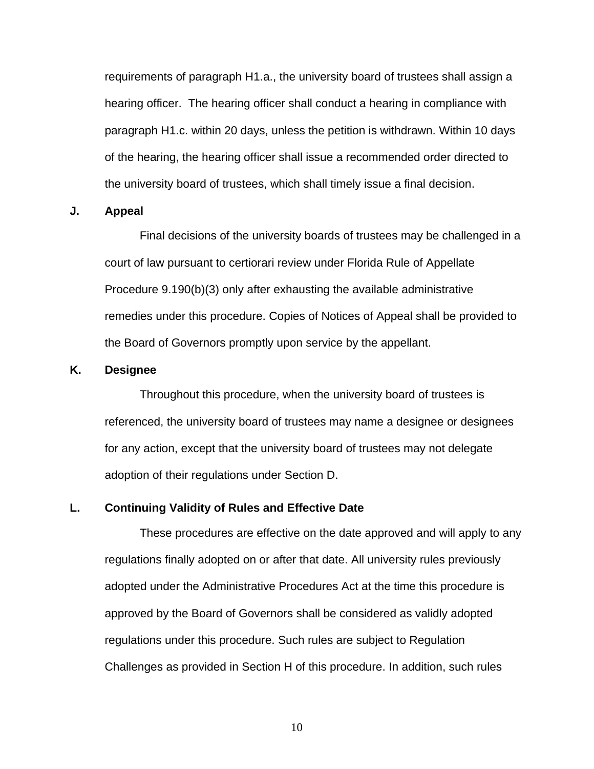requirements of paragraph H1.a., the university board of trustees shall assign a hearing officer. The hearing officer shall conduct a hearing in compliance with paragraph H1.c. within 20 days, unless the petition is withdrawn. Within 10 days of the hearing, the hearing officer shall issue a recommended order directed to the university board of trustees, which shall timely issue a final decision.

#### **J. Appeal**

Final decisions of the university boards of trustees may be challenged in a court of law pursuant to certiorari review under Florida Rule of Appellate Procedure 9.190(b)(3) only after exhausting the available administrative remedies under this procedure. Copies of Notices of Appeal shall be provided to the Board of Governors promptly upon service by the appellant.

#### **K. Designee**

Throughout this procedure, when the university board of trustees is referenced, the university board of trustees may name a designee or designees for any action, except that the university board of trustees may not delegate adoption of their regulations under Section D.

### **L. Continuing Validity of Rules and Effective Date**

These procedures are effective on the date approved and will apply to any regulations finally adopted on or after that date. All university rules previously adopted under the Administrative Procedures Act at the time this procedure is approved by the Board of Governors shall be considered as validly adopted regulations under this procedure. Such rules are subject to Regulation Challenges as provided in Section H of this procedure. In addition, such rules